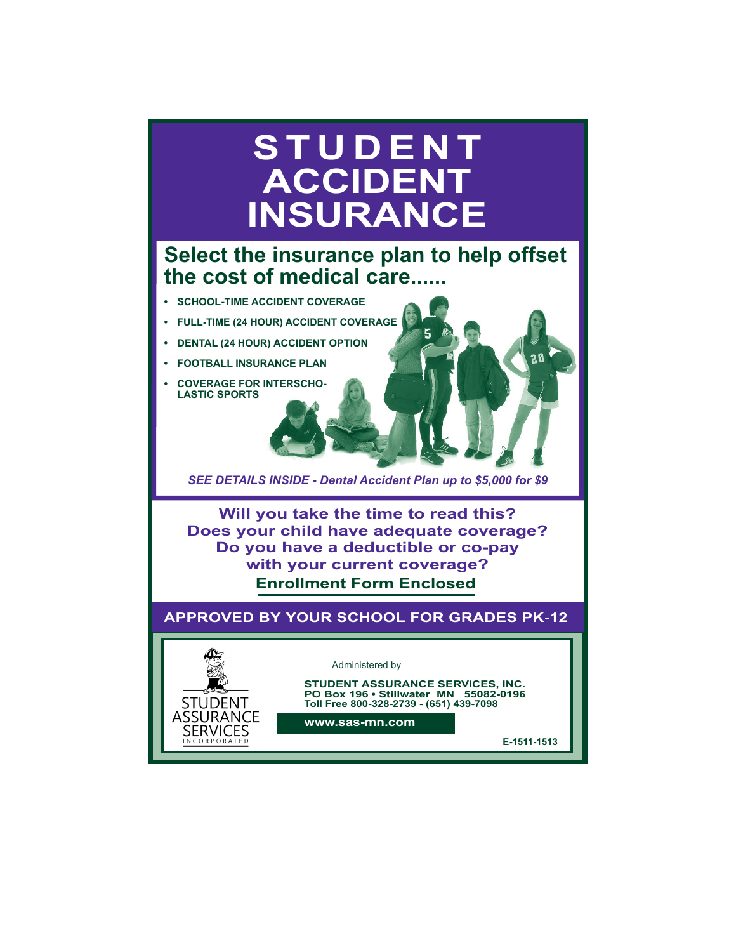# **STUDENT ACCIDENT INSURANCE**

# **Select the insurance plan to help offset the cost of medical care......**

- **• SCHOOL-TIME ACCIDENT COVERAGE**
- **• FULL-TIME (24 HOUR) ACCIDENT COVERAGE**
- **• DENTAL (24 HOUR) ACCIDENT OPTION**
- **• FOOTBALL INSURANCE PLAN**
- **• COVERAGE FOR INTERSCHO-LASTIC SPORTS**

**STUDENT** ASSURANCE **SERVICES** CORPORATED

*SEE DETAILS INSIDE - Dental Accident Plan up to \$5,000 for \$9*

**Enrollment Form Enclosed Will you take the time to read this? Does your child have adequate coverage? Do you have a deductible or co-pay with your current coverage?**

**APPROVED BY YOUR SCHOOL FOR GRADES PK-12**

# Administered by

**STUDENT ASSURANCE SERVICES, INC. PO Box 196 • Stillwater MN 55082-0196 Toll Free 800-328-2739 - (651) 439-7098**

**www.sas-mn.com**

**E-1511-1513**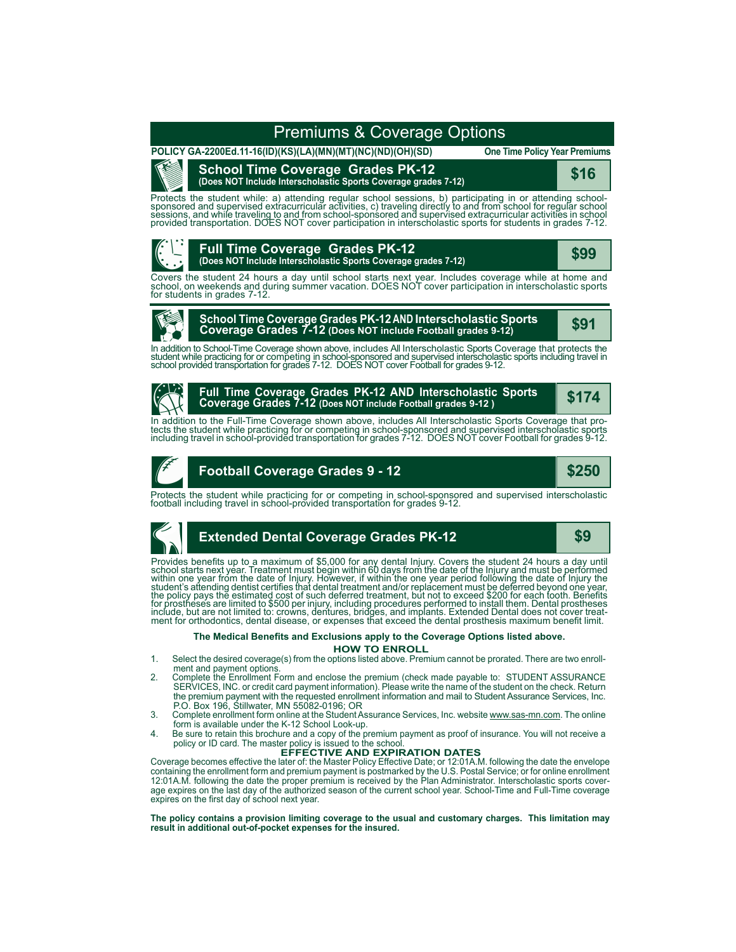# Premiums & Coverage Options

**POLICY GA-2200Ed.11-16(ID)(KS)(LA)(MN)(MT)(NC)(ND)(OH)(SD)**

Œ

# **School Time Coverage Grades PK-12**

**One Time Policy Year Premiums**

**(Does NOT Include Interscholastic Sports Coverage grades 7-12) \$16**

Protects the student while: a) attending regular school sessions, b) participating in or attending school-<br>sponsored and supervised extracurricular activities, c) traveling directly to and from school for regular schoo<br>ses



Covers the student 24 hours a day until school starts next year. Includes coverage while at home and<br>school, on weekends and during summer vacation. DOES NOT cover participation in interscholastic sports<br>for students in gr



# **School Time Coverage Grades PK-12 AND Interscholastic Sports Coverage Grades 7-12 (Does NOT include Football grades 9-12) \$91**

In addition to School-Time Coverage shown above, includes All Interscholastic Sports Coverage that protects the<br>student while practicing for or competing in school-sponsored and supervised interscholastic sports including



**Full Time Coverage Grades PK-12 AND Interscholastic Sports Coverage Grades 7-12 (Does NOT include Football grades 9-12 )**

**\$174**

In addition to the Full-Time Coverage shown above, includes All Interscholastic Sports Coverage that pro-<br>tects the student while practicing for or competing in school-sponsored and supervised interscholastic sports<br>includ



# **Football Coverage Grades 9 - 12**

**\$250**

Protects the student while practicing for or competing in school-sponsored and supervised interscholastic football including travel in school-provided transportation for grades 9-12.



# **Extended Dental Coverage Grades PK-12 \$9**

Provides benefits up to a maximum of \$5,000 for any dental Injury. Covers the student 24 hours a day until<br>school starts next year. Treatment must begin within 60 days from the date of the Injury ad must be performed<br>withi

## **HOW TO ENROLL The Medical Benefits and Exclusions apply to the Coverage Options listed above.**

- 1. Select the desired coverage(s) from the options listed above. Premium cannot be prorated. There are two enroll-
- ment and payment options. 2. Complete the Enrollment Form and enclose the premium (check made payable to: STUDENT ASSURANCE SERVICES, INC. or credit card payment information). Please write the name of the student on the check. Return the premium payment with the requested enrollment information and mail to Student Assurance Services, Inc. P.O. Box 196, Stillwater, MN 55082-0196; OR
- 3. Complete enrollment form online at the Student Assurance Services, Inc. website www.sas-mn.com. The online<br>form is available under the K-12 School Look-up.
- 4. Be sure to retain this brochure and a copy of the premium payment as proof of insurance. You will not receive a policy or ID card. The master policy is issued to the school. **EFFECTIVE AND EXPIRATION DATES**

Coverage becomes effective the later of: the Master Policy Effective Date; or 12:01A.M. following the date the envelope<br>containing the enrollment form and premium payment is postmarked by the U.S. Postal Service; or for on 12:01A.M. following the date the proper premium is received by the Plan Administrator. Interscholastic sports coverage expires on the last day of the authorized season of the current school year. School-Time and Full-Time coverage expires on the first day of school next year.

**The policy contains a provision limiting coverage to the usual and customary charges. This limitation may result in additional out-of-pocket expenses for the insured.**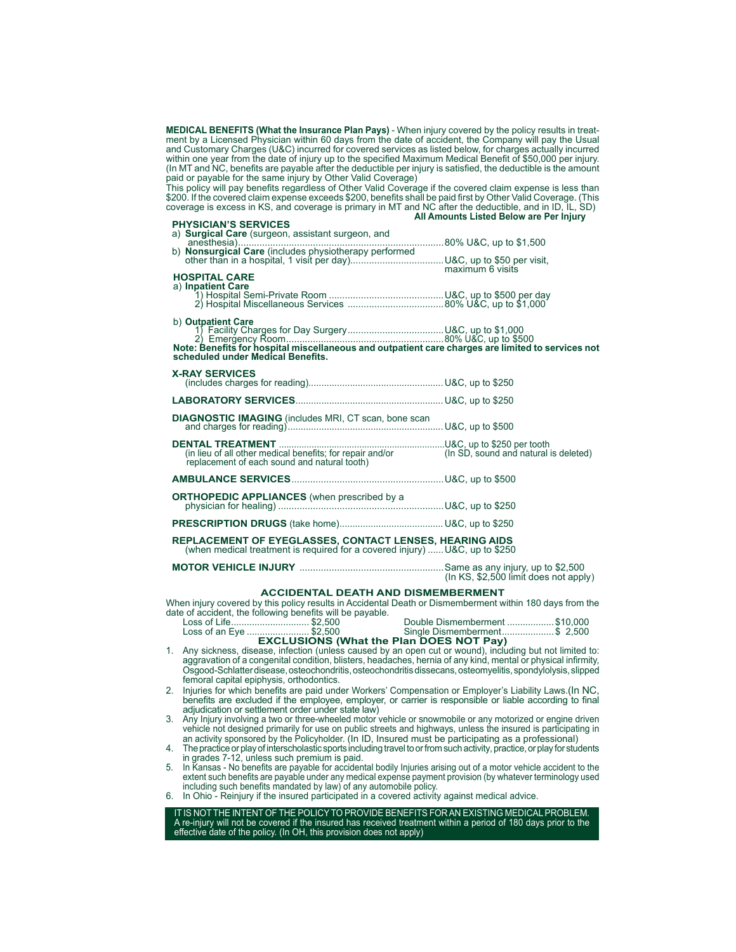**MEDICAL BENEFITS (What the Insurance Plan Pays)** - When injury covered by the policy results in treatment by a Licensed Physician within 60 days from the date of accident, the Company will pay the Usual and Customary Charges (U&C) incurred for covered services as listed below, for charges actually incurred within one year from the date of injury up to the specified Maximum Medical Benefit of \$50,000 per injury. (In MT and NC, benefits are payable after the deductible per injury is satisfied, the deductible is the amount paid or payable for the same injury by Other Valid Coverage)

This policy will pay benefits regardless of Other Valid Coverage if the covered claim expense is less than \$200. If the covered claim expense exceeds \$200, benefits shall be paid first by Other Valid Coverage. (This coverage is excess in KS, and coverage is primary in MT and NC after the deductible, and in ID, IL, SD)  **All Amounts Listed Below are Per Injury PHYSICIAN'S SERVICES** 

| a) Surgical Care (surgeon, assistant surgeon, and                                                                                                            |  |
|--------------------------------------------------------------------------------------------------------------------------------------------------------------|--|
|                                                                                                                                                              |  |
| <b>HOSPITAL CARE</b><br>a) Inpatient Care                                                                                                                    |  |
| b) Outpatient Care<br>Note: Benefits for hospital miscellaneous and outpatient care charges are limited to services not<br>scheduled under Medical Benefits. |  |
| <b>X-RAY SERVICES</b>                                                                                                                                        |  |
|                                                                                                                                                              |  |

| (in lieu of all other medical benefits; for repair and/or<br>replacement of each sound and natural tooth)                            |  |
|--------------------------------------------------------------------------------------------------------------------------------------|--|
|                                                                                                                                      |  |
|                                                                                                                                      |  |
|                                                                                                                                      |  |
| REPLACEMENT OF EYEGLASSES, CONTACT LENSES, HEARING AIDS<br>(when medical treatment is required for a covered injury)U&C, up to \$250 |  |

**MOTOR VEHICLE INJURY** ......................................................Same as any injury, up to \$2,500 (In KS, \$2,500 limit does not apply)

### **ACCIDENTAL DEATH AND DISMEMBERMENT**

When injury covered by this policy results in Accidental Death or Dismemberment within 180 days from the date of accident, the following benefits will be payable.<br>Loss of Life................................\$2,500

Loss of Life.............................. \$2,500 Double Dismemberment ..................\$10,000 Loss of an Eye ........................ \$2,500 Single Dismemberment....................\$ 2,500 **EXCLUSIONS (What the Plan DOES NOT Pay)**

- 1. Any sickness, disease, infection (unless caused by an open cut or wound), including but not limited to: aggravation of a congenital condition, blisters, headaches, hernia of any kind, mental or physical infirmity, Osgood-Schlatter disease, osteochondritis, osteochondritis dissecans, osteomyelitis, spondylolysis, slipped femoral capital epiphysis, orthodontics.
- 2. Injuries for which benefits are paid under Workers' Compensation or Employer's Liability Laws.(In NC, benefits are excluded if the employee, employer, or carrier is responsible or liable according to final adjudication or settlement order under state law)

3. Any Injury involving a two or three-wheeled motor vehicle or snowmobile or any motorized or engine driven<br>vehicle not designed primarily for use on public streets and highways, unless the insured is participating in<br>an

4. The practice or play of interscholastic sports including travel to or from such activity, practice, or play for students in grades 7-12, unless such premium is paid.

5. In Kansas - No benefits are payable for accidental bodily Injuries arising out of a motor vehicle accident to the extent such benefits are payable under any medical expense payment provision (by whatever terminology used including such benefits mandated by law) of any automobile policy.

6. In Ohio - Reinjury if the insured participated in a covered activity against medical advice.

IT IS NOT THE INTENT OF THE POLICY TO PROVIDE BENEFITS FOR AN EXISTING MEDICAL PROBLEM. A re-injury will not be covered if the insured has received treatment within a period of 180 days prior to the effective date of the policy. (In OH, this provision does not apply)